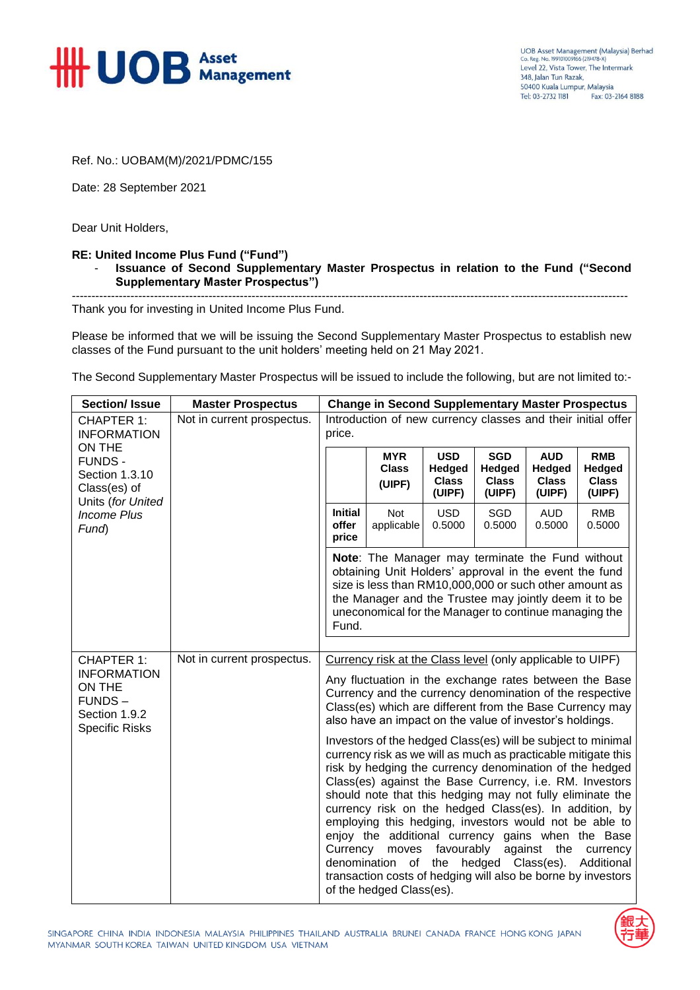

UOB Asset Management (Malaysia) Berhad<br>Co. Reg. No. 199101009166 (219478-X)<br>Level 22, Vista Tower, The Intermark 348 Jalan Tun Razak 50400 Kuala Lumpur, Malaysia Tel: 03-2732 1181 Fax: 03-2164 8188

Ref. No.: UOBAM(M)/2021/PDMC/155

Date: 28 September 2021

Dear Unit Holders,

## **RE: United Income Plus Fund ("Fund")**

## - **Issuance of Second Supplementary Master Prospectus in relation to the Fund ("Second Supplementary Master Prospectus")**

----------------------------------------------------------------------------------------------------------------------------------------------

Thank you for investing in United Income Plus Fund.

Please be informed that we will be issuing the Second Supplementary Master Prospectus to establish new classes of the Fund pursuant to the unit holders' meeting held on 21 May 2021.

The Second Supplementary Master Prospectus will be issued to include the following, but are not limited to:-

| <b>Section/Issue</b>                                                                                           | <b>Master Prospectus</b>   | <b>Change in Second Supplementary Master Prospectus</b>                                                                                                                                                                                                                                                                                                                                                                                                                                                                                                                                                                                                                                                                                                                                                                                                                                                                                                                                                                      |                                      |                                                |                                                |                                                |                                                |  |  |  |  |
|----------------------------------------------------------------------------------------------------------------|----------------------------|------------------------------------------------------------------------------------------------------------------------------------------------------------------------------------------------------------------------------------------------------------------------------------------------------------------------------------------------------------------------------------------------------------------------------------------------------------------------------------------------------------------------------------------------------------------------------------------------------------------------------------------------------------------------------------------------------------------------------------------------------------------------------------------------------------------------------------------------------------------------------------------------------------------------------------------------------------------------------------------------------------------------------|--------------------------------------|------------------------------------------------|------------------------------------------------|------------------------------------------------|------------------------------------------------|--|--|--|--|
| <b>CHAPTER 1:</b><br><b>INFORMATION</b>                                                                        | Not in current prospectus. | Introduction of new currency classes and their initial offer<br>price.                                                                                                                                                                                                                                                                                                                                                                                                                                                                                                                                                                                                                                                                                                                                                                                                                                                                                                                                                       |                                      |                                                |                                                |                                                |                                                |  |  |  |  |
| ON THE<br><b>FUNDS -</b><br>Section 1.3.10<br>Class(es) of<br>Units (for United<br><b>Income Plus</b><br>Fund) |                            |                                                                                                                                                                                                                                                                                                                                                                                                                                                                                                                                                                                                                                                                                                                                                                                                                                                                                                                                                                                                                              | <b>MYR</b><br><b>Class</b><br>(UIPF) | <b>USD</b><br>Hedged<br><b>Class</b><br>(UIPF) | <b>SGD</b><br>Hedged<br><b>Class</b><br>(UIPF) | <b>AUD</b><br>Hedged<br><b>Class</b><br>(UIPF) | <b>RMB</b><br>Hedged<br><b>Class</b><br>(UIPF) |  |  |  |  |
|                                                                                                                |                            | <b>Initial</b><br>offer<br>price                                                                                                                                                                                                                                                                                                                                                                                                                                                                                                                                                                                                                                                                                                                                                                                                                                                                                                                                                                                             | <b>Not</b><br>applicable             | <b>USD</b><br>0.5000                           | SGD<br>0.5000                                  | <b>AUD</b><br>0.5000                           | <b>RMB</b><br>0.5000                           |  |  |  |  |
|                                                                                                                |                            | Note: The Manager may terminate the Fund without<br>obtaining Unit Holders' approval in the event the fund<br>size is less than RM10,000,000 or such other amount as<br>the Manager and the Trustee may jointly deem it to be<br>uneconomical for the Manager to continue managing the<br>Fund.                                                                                                                                                                                                                                                                                                                                                                                                                                                                                                                                                                                                                                                                                                                              |                                      |                                                |                                                |                                                |                                                |  |  |  |  |
| <b>CHAPTER 1:</b><br><b>INFORMATION</b><br>ON THE<br>$FUNDS -$<br>Section 1.9.2<br><b>Specific Risks</b>       | Not in current prospectus. | Currency risk at the Class level (only applicable to UIPF)<br>Any fluctuation in the exchange rates between the Base<br>Currency and the currency denomination of the respective<br>Class(es) which are different from the Base Currency may<br>also have an impact on the value of investor's holdings.<br>Investors of the hedged Class(es) will be subject to minimal<br>currency risk as we will as much as practicable mitigate this<br>risk by hedging the currency denomination of the hedged<br>Class(es) against the Base Currency, i.e. RM. Investors<br>should note that this hedging may not fully eliminate the<br>currency risk on the hedged Class(es). In addition, by<br>employing this hedging, investors would not be able to<br>enjoy the additional currency gains when the Base<br>favourably<br>against the<br>Currency<br>moves<br>currency<br>of the<br>hedged Class(es).<br>denomination<br>Additional<br>transaction costs of hedging will also be borne by investors<br>of the hedged Class(es). |                                      |                                                |                                                |                                                |                                                |  |  |  |  |